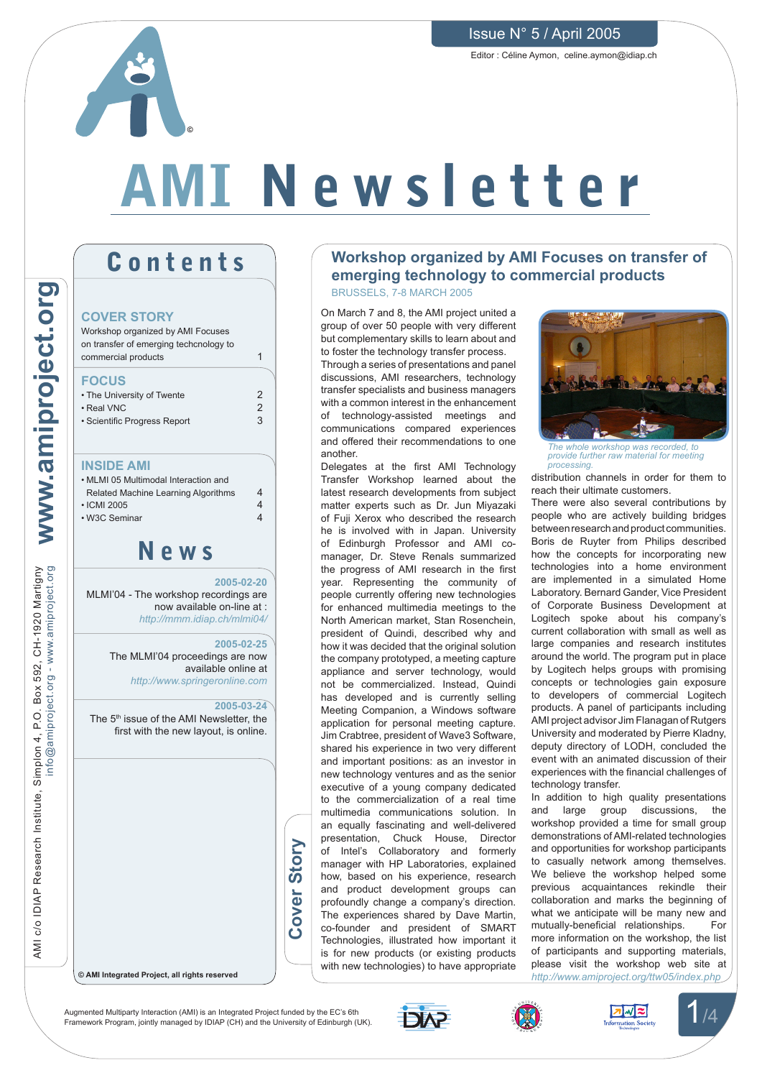Issue N° 5 / April 2005

Editor : Céline Aymon, celine.aymon@idiap.ch

# AMI N e w s l e t t e r

## **Contents**

**©**

#### **COVER STORY**

Workshop organized by AMI Focuses on transfer of emerging techcnology to commercial products

1

2  $\mathfrak{p}$ 3

4 4  $\overline{A}$ 

### **FOCUS**

AMI c/o IDIAP Research Institute, Simplon 4, P.O. Box 592, CH-1920 Martigny

AMI c/o IDIAP Research Institute, Simplon 4, P.O.

mplon 4, P.O. Box 592, CH-1920 Martigny<br>info@amiproject.org - www.amiproject.org

info@amiproject.org - www.amiproject.org **www.amiproject.org**

www.amiproject.org

| • The University of Twente<br>$\cdot$ Real VNC |
|------------------------------------------------|
| • Scientific Progress Report                   |
|                                                |

#### **INSIDE AMI**

| • MLMI 05 Multimodal Interaction and |
|--------------------------------------|
| Related Machine Learning Algorithms  |
| $\cdot$ ICMI 2005                    |
| • W3C Seminar                        |
|                                      |

## N e w s

**2005-02-20** MLMI'04 - The workshop recordings are now available on-line at : *http://mmm.idiap.ch/mlmi04/*

> **2005-02-25** The MLMI'04 proceedings are now available online at *http://www.springeronline.com*

**2005-03-24** The 5<sup>th</sup> issue of the AMI Newsletter, the first with the new layout, is online.

**Cover Story**

over

Story

**© AMI Integrated Project, all rights reserved**

#### **Workshop organized by AMI Focuses on transfer of emerging technology to commercial products** BRUSSELS, 7-8 MARCH 2005

On March 7 and 8, the AMI project united a group of over 50 people with very different but complementary skills to learn about and to foster the technology transfer process.

Through a series of presentations and panel discussions, AMI researchers, technology transfer specialists and business managers with a common interest in the enhancement of technology-assisted meetings and communications compared experiences and offered their recommendations to one another.

Delegates at the first AMI Technology Transfer Workshop learned about the latest research developments from subject matter experts such as Dr. Jun Miyazaki of Fuji Xerox who described the research he is involved with in Japan. University of Edinburgh Professor and AMI comanager, Dr. Steve Renals summarized the progress of AMI research in the first year. Representing the community of people currently offering new technologies for enhanced multimedia meetings to the North American market, Stan Rosenchein, president of Quindi, described why and how it was decided that the original solution the company prototyped, a meeting capture appliance and server technology, would not be commercialized. Instead, Quindi has developed and is currently selling Meeting Companion, a Windows software application for personal meeting capture. Jim Crabtree, president of Wave3 Software, shared his experience in two very different and important positions: as an investor in new technology ventures and as the senior executive of a young company dedicated to the commercialization of a real time multimedia communications solution. In an equally fascinating and well-delivered presentation, Chuck House, Director of Intel's Collaboratory and formerly manager with HP Laboratories, explained how, based on his experience, research and product development groups can profoundly change a company's direction. The experiences shared by Dave Martin, co-founder and president of SMART Technologies, illustrated how important it is for new products (or existing products with new technologies) to have appropriate



*The whole workshop was recorded, to provide further raw material for meeting processing.*

distribution channels in order for them to reach their ultimate customers.

There were also several contributions by people who are actively building bridges between research and product communities. Boris de Ruyter from Philips described how the concepts for incorporating new technologies into a home environment are implemented in a simulated Home Laboratory. Bernard Gander, Vice President of Corporate Business Development at Logitech spoke about his company's current collaboration with small as well as large companies and research institutes around the world. The program put in place by Logitech helps groups with promising concepts or technologies gain exposure to developers of commercial Logitech products. A panel of participants including AMI project advisor Jim Flanagan of Rutgers University and moderated by Pierre Kladny, deputy directory of LODH, concluded the event with an animated discussion of their experiences with the financial challenges of technology transfer.

In addition to high quality presentations and large group discussions, the workshop provided a time for small group demonstrations of AMI-related technologies and opportunities for workshop participants to casually network among themselves. We believe the workshop helped some previous acquaintances rekindle their collaboration and marks the beginning of what we anticipate will be many new and mutually-beneficial relationships. For more information on the workshop, the list of participants and supporting materials, please visit the workshop web site at *http://www.amiproject.org/ttw05/index.php*

Augmented Multiparty Interaction (AMI) is an Integrated Project funded by the EC's 6th Augmented Multiparty Interaction (AMI) is an Integrated Project funded by the EC's 6th<br>Framework Program, jointly managed by IDIAP (CH) and the University of Edinburgh (UK).





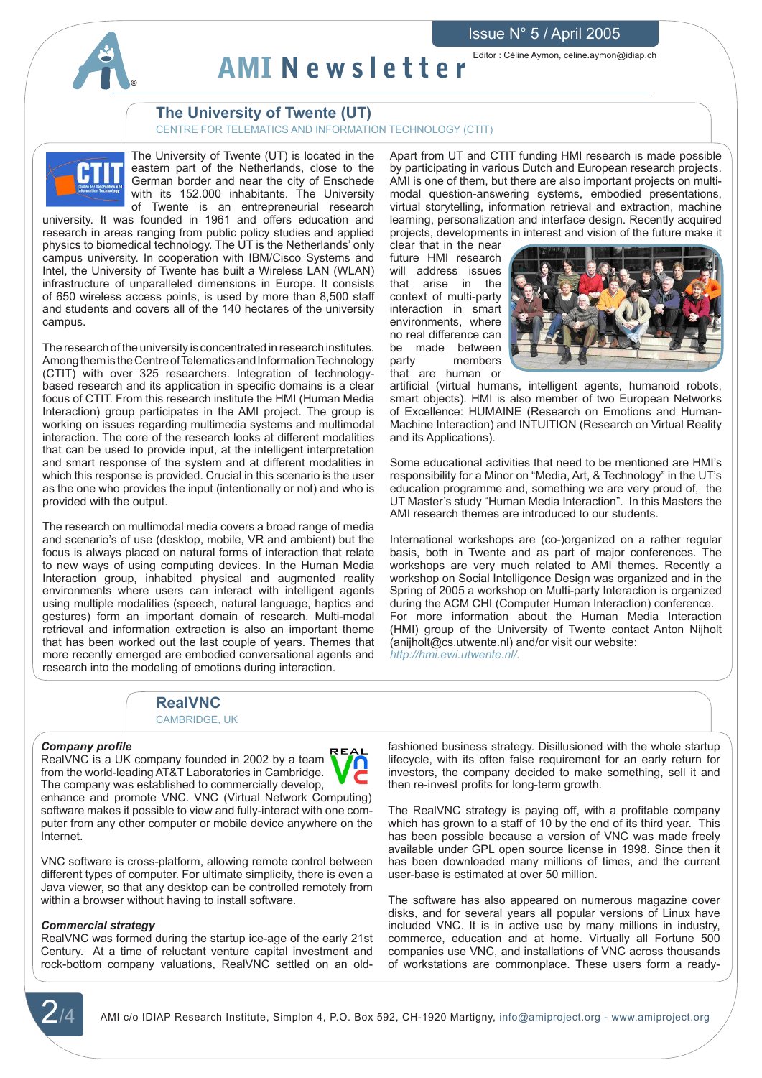



Editor : Céline Aymon, celine.aymon@idiap.ch AMI N e w s l e t t e r

#### **The University of Twente (UT)**

CENTRE FOR TELEMATICS AND INFORMATION TECHNOLOGY (CTIT)



The University of Twente (UT) is located in the eastern part of the Netherlands, close to the German border and near the city of Enschede with its 152.000 inhabitants. The University of Twente is an entrepreneurial research

university. It was founded in 1961 and offers education and research in areas ranging from public policy studies and applied physics to biomedical technology. The UT is the Netherlands' only campus university. In cooperation with IBM/Cisco Systems and Intel, the University of Twente has built a Wireless LAN (WLAN) infrastructure of unparalleled dimensions in Europe. It consists of 650 wireless access points, is used by more than 8,500 staff and students and covers all of the 140 hectares of the university campus.

The research of the university is concentrated in research institutes. Among them is the Centre of Telematics and Information Technology (CTIT) with over 325 researchers. Integration of technologybased research and its application in specific domains is a clear focus of CTIT. From this research institute the HMI (Human Media Interaction) group participates in the AMI project. The group is working on issues regarding multimedia systems and multimodal interaction. The core of the research looks at different modalities that can be used to provide input, at the intelligent interpretation and smart response of the system and at different modalities in which this response is provided. Crucial in this scenario is the user as the one who provides the input (intentionally or not) and who is provided with the output.

The research on multimodal media covers a broad range of media and scenario's of use (desktop, mobile, VR and ambient) but the focus is always placed on natural forms of interaction that relate to new ways of using computing devices. In the Human Media Interaction group, inhabited physical and augmented reality environments where users can interact with intelligent agents using multiple modalities (speech, natural language, haptics and gestures) form an important domain of research. Multi-modal retrieval and information extraction is also an important theme that has been worked out the last couple of years. Themes that more recently emerged are embodied conversational agents and research into the modeling of emotions during interaction.

Apart from UT and CTIT funding HMI research is made possible by participating in various Dutch and European research projects. AMI is one of them, but there are also important projects on multimodal question-answering systems, embodied presentations, virtual storytelling, information retrieval and extraction, machine learning, personalization and interface design. Recently acquired projects, developments in interest and vision of the future make it

clear that in the near future HMI research will address issues that arise in the context of multi-party interaction in smart environments, where no real difference can be made between party members that are human or



artificial (virtual humans, intelligent agents, humanoid robots, smart objects). HMI is also member of two European Networks of Excellence: HUMAINE (Research on Emotions and Human-Machine Interaction) and INTUITION (Research on Virtual Reality and its Applications).

Some educational activities that need to be mentioned are HMI's responsibility for a Minor on "Media, Art, & Technology" in the UT's education programme and, something we are very proud of, the UT Master's study "Human Media Interaction". In this Masters the AMI research themes are introduced to our students.

International workshops are (co-)organized on a rather regular basis, both in Twente and as part of major conferences. The workshops are very much related to AMI themes. Recently a workshop on Social Intelligence Design was organized and in the Spring of 2005 a workshop on Multi-party Interaction is organized during the ACM CHI (Computer Human Interaction) conference. For more information about the Human Media Interaction (HMI) group of the University of Twente contact Anton Nijholt (anijholt@cs.utwente.nl) and/or visit our website: *http://hmi.ewi.utwente.nl/*.

#### **RealVNC**  CAMBRIDGE, UK

#### *Company profile*

REAL RealVNC is a UK company founded in 2002 by a team from the world-leading AT&T Laboratories in Cambridge. The company was established to commercially develop, enhance and promote VNC. VNC (Virtual Network Computing) software makes it possible to view and fully-interact with one computer from any other computer or mobile device anywhere on the Internet.

VNC software is cross-platform, allowing remote control between different types of computer. For ultimate simplicity, there is even a Java viewer, so that any desktop can be controlled remotely from within a browser without having to install software.

#### *Commercial strategy*

RealVNC was formed during the startup ice-age of the early 21st Century. At a time of reluctant venture capital investment and rock-bottom company valuations, RealVNC settled on an old-

fashioned business strategy. Disillusioned with the whole startup lifecycle, with its often false requirement for an early return for investors, the company decided to make something, sell it and then re-invest profits for long-term growth.

The RealVNC strategy is paying off, with a profitable company which has grown to a staff of 10 by the end of its third year. This has been possible because a version of VNC was made freely available under GPL open source license in 1998. Since then it has been downloaded many millions of times, and the current user-base is estimated at over 50 million.

The software has also appeared on numerous magazine cover disks, and for several years all popular versions of Linux have included VNC. It is in active use by many millions in industry, commerce, education and at home. Virtually all Fortune 500 companies use VNC, and installations of VNC across thousands of workstations are commonplace. These users form a ready-



AMI c/o IDIAP Research Institute, Simplon 4, P.O. Box 592, CH-1920 Martigny, info@amiproject.org - www.amiproject.org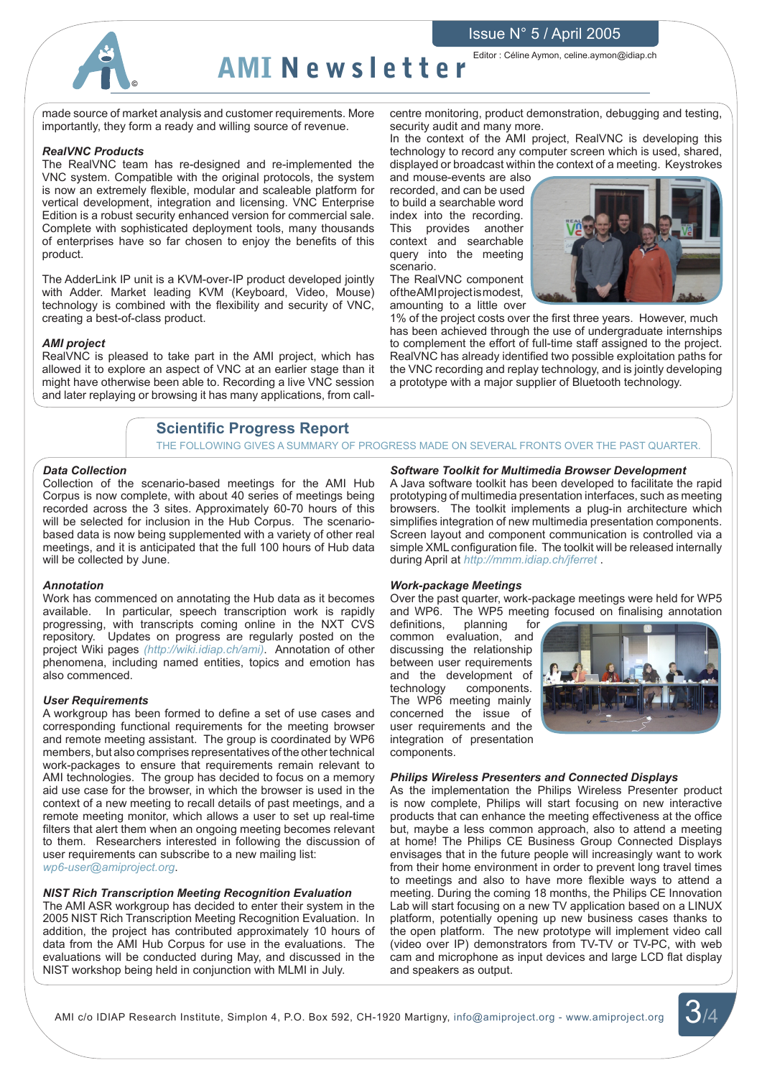#### Issue N° 5 / April 2005



#### Editor : Céline Aymon, celine.aymon@idiap.ch AMI Newsletter

made source of market analysis and customer requirements. More importantly, they form a ready and willing source of revenue.

#### *RealVNC Products*

The RealVNC team has re-designed and re-implemented the VNC system. Compatible with the original protocols, the system is now an extremely flexible, modular and scaleable platform for vertical development, integration and licensing. VNC Enterprise Edition is a robust security enhanced version for commercial sale. Complete with sophisticated deployment tools, many thousands of enterprises have so far chosen to enjoy the benefits of this product.

The AdderLink IP unit is a KVM-over-IP product developed jointly with Adder. Market leading KVM (Keyboard, Video, Mouse) technology is combined with the flexibility and security of VNC, creating a best-of-class product.

#### *AMI project*

RealVNC is pleased to take part in the AMI project, which has allowed it to explore an aspect of VNC at an earlier stage than it might have otherwise been able to. Recording a live VNC session and later replaying or browsing it has many applications, from callcentre monitoring, product demonstration, debugging and testing, security audit and many more.

In the context of the AMI project, RealVNC is developing this technology to record any computer screen which is used, shared, displayed or broadcast within the context of a meeting. Keystrokes

and mouse-events are also recorded, and can be used to build a searchable word index into the recording. This provides another context and searchable query into the meeting scenario.

The RealVNC component of the AMI project is modest, amounting to a little over



1% of the project costs over the first three years. However, much has been achieved through the use of undergraduate internships to complement the effort of full-time staff assigned to the project. RealVNC has already identified two possible exploitation paths for the VNC recording and replay technology, and is jointly developing a prototype with a major supplier of Bluetooth technology.

#### **Scientific Progress Report**

THE FOLLOWING GIVES A SUMMARY OF PROGRESS MADE ON SEVERAL FRONTS OVER THE PAST QUARTER.

#### *Data Collection*

Collection of the scenario-based meetings for the AMI Hub Corpus is now complete, with about 40 series of meetings being recorded across the 3 sites. Approximately 60-70 hours of this will be selected for inclusion in the Hub Corpus. The scenariobased data is now being supplemented with a variety of other real meetings, and it is anticipated that the full 100 hours of Hub data will be collected by June.

#### *Annotation*

Work has commenced on annotating the Hub data as it becomes<br>available. In particular, speech transcription work is rapidly In particular, speech transcription work is rapidly progressing, with transcripts coming online in the NXT CVS repository. Updates on progress are regularly posted on the project Wiki pages *(http://wiki.idiap.ch/ami)*. Annotation of other phenomena, including named entities, topics and emotion has also commenced.

#### *User Requirements*

A workgroup has been formed to define a set of use cases and corresponding functional requirements for the meeting browser and remote meeting assistant. The group is coordinated by WP6 members, but also comprises representatives of the other technical work-packages to ensure that requirements remain relevant to AMI technologies. The group has decided to focus on a memory aid use case for the browser, in which the browser is used in the context of a new meeting to recall details of past meetings, and a remote meeting monitor, which allows a user to set up real-time filters that alert them when an ongoing meeting becomes relevant to them. Researchers interested in following the discussion of user requirements can subscribe to a new mailing list: *wp6-user@amiproject.org*.

#### *NIST Rich Transcription Meeting Recognition Evaluation*

The AMI ASR workgroup has decided to enter their system in the 2005 NIST Rich Transcription Meeting Recognition Evaluation. In addition, the project has contributed approximately 10 hours of data from the AMI Hub Corpus for use in the evaluations. The evaluations will be conducted during May, and discussed in the NIST workshop being held in conjunction with MLMI in July.

#### *Software Toolkit for Multimedia Browser Development*

A Java software toolkit has been developed to facilitate the rapid prototyping of multimedia presentation interfaces, such as meeting browsers. The toolkit implements a plug-in architecture which simplifies integration of new multimedia presentation components. Screen layout and component communication is controlled via a simple XML configuration file. The toolkit will be released internally during April at *http://mmm.idiap.ch/jferret* .

#### *Work-package Meetings*

Over the past quarter, work-package meetings were held for WP5 and WP6. The WP5 meeting focused on finalising annotation definitions, planning for

definitions, common evaluation, and discussing the relationship between user requirements and the development of technology components. The WP6 meeting mainly concerned the issue of user requirements and the integration of presentation components.



#### *Philips Wireless Presenters and Connected Displays*

As the implementation the Philips Wireless Presenter product is now complete, Philips will start focusing on new interactive products that can enhance the meeting effectiveness at the office but, maybe a less common approach, also to attend a meeting at home! The Philips CE Business Group Connected Displays envisages that in the future people will increasingly want to work from their home environment in order to prevent long travel times to meetings and also to have more flexible ways to attend a meeting. During the coming 18 months, the Philips CE Innovation Lab will start focusing on a new TV application based on a LINUX platform, potentially opening up new business cases thanks to the open platform. The new prototype will implement video call (video over IP) demonstrators from TV-TV or TV-PC, with web cam and microphone as input devices and large LCD flat display and speakers as output.